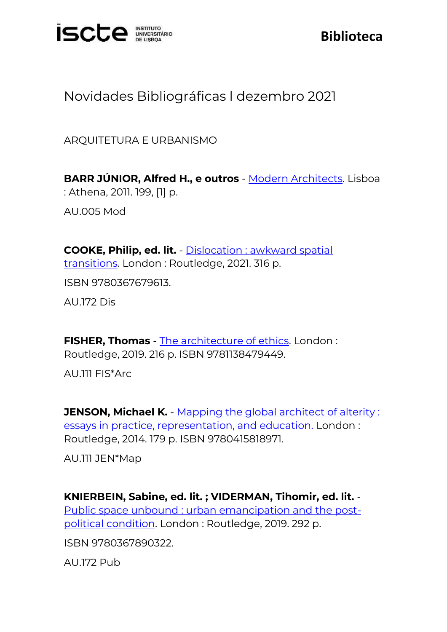

## **Biblioteca**

## Novidades Bibliográficas l dezembro 2021

ARQUITETURA E URBANISMO

**BARR JÚNIOR, Alfred H., e outros** - [Modern Architects.](https://catalogo.biblioteca.iscte-iul.pt/cgi-bin/koha/opac-detail.pl?biblionumber=112960) Lisboa : Athena, 2011. 199, [1] p.

AU.005 Mod

**COOKE, Philip, ed. lit.** - [Dislocation : awkward spatial](https://catalogo.biblioteca.iscte-iul.pt/cgi-bin/koha/opac-detail.pl?biblionumber=113406)  [transitions.](https://catalogo.biblioteca.iscte-iul.pt/cgi-bin/koha/opac-detail.pl?biblionumber=113406) London : Routledge, 2021. 316 p. ISBN 9780367679613.

AU.172 Dis

**FISHER, Thomas** - [The architecture of ethics.](https://catalogo.biblioteca.iscte-iul.pt/cgi-bin/koha/opac-detail.pl?biblionumber=113400) London : Routledge, 2019. 216 p. ISBN 9781138479449.

AU.111 FIS\*Arc

**JENSON, Michael K.** - Mapping the global architect of alterity: [essays in practice, representation, and education.](https://catalogo.biblioteca.iscte-iul.pt/cgi-bin/koha/opac-detail.pl?biblionumber=113398) London : Routledge, 2014. 179 p. ISBN 9780415818971.

AU.111 JEN\*Map

**KNIERBEIN, Sabine, ed. lit. ; VIDERMAN, Tihomir, ed. lit.** - [Public space unbound : urban emancipation and the post](https://catalogo.biblioteca.iscte-iul.pt/cgi-bin/koha/opac-detail.pl?biblionumber=113382)[political condition.](https://catalogo.biblioteca.iscte-iul.pt/cgi-bin/koha/opac-detail.pl?biblionumber=113382) London : Routledge, 2019. 292 p.

ISBN 9780367890322.

AU.172 Pub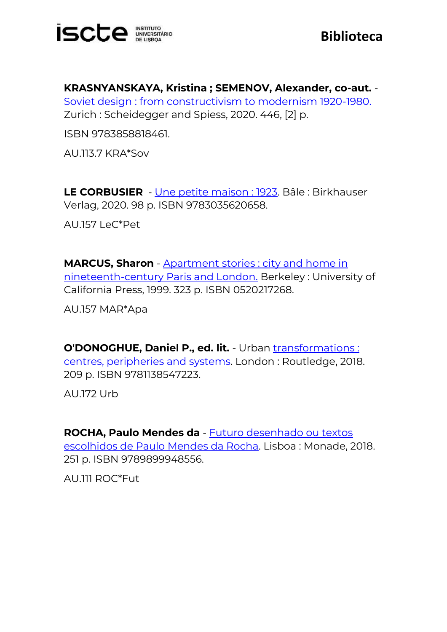

**KRASNYANSKAYA, Kristina ; SEMENOV, Alexander, co-aut.** - [Soviet design : from constructivism to modernism 1920-1980.](https://catalogo.biblioteca.iscte-iul.pt/cgi-bin/koha/opac-detail.pl?biblionumber=112153) Zurich : Scheidegger and Spiess, 2020. 446, [2] p.

ISBN 9783858818461.

AU.113.7 KRA\*Sov

**LE CORBUSIER** - [Une petite maison : 1923.](https://catalogo.biblioteca.iscte-iul.pt/cgi-bin/koha/opac-detail.pl?biblionumber=113371) Bâle : Birkhauser Verlag, 2020. 98 p. ISBN 9783035620658.

AU.157 LeC\*Pet

**MARCUS, Sharon** - [Apartment stories : city and home in](https://catalogo.biblioteca.iscte-iul.pt/cgi-bin/koha/opac-detail.pl?biblionumber=113431)  [nineteenth-century Paris and London.](https://catalogo.biblioteca.iscte-iul.pt/cgi-bin/koha/opac-detail.pl?biblionumber=113431) Berkeley : University of California Press, 1999. 323 p. ISBN 0520217268.

AU.157 MAR\*Apa

**O'DONOGHUE, Daniel P., ed. lit.** - Urban *transformations*: [centres, peripheries and systems.](https://catalogo.biblioteca.iscte-iul.pt/cgi-bin/koha/opac-detail.pl?biblionumber=113404) London : Routledge, 2018. 209 p. ISBN 9781138547223.

AU.172 Urb

**ROCHA, Paulo Mendes da** - [Futuro desenhado ou textos](https://catalogo.biblioteca.iscte-iul.pt/cgi-bin/koha/opac-detail.pl?biblionumber=113218)  [escolhidos de Paulo Mendes da Rocha.](https://catalogo.biblioteca.iscte-iul.pt/cgi-bin/koha/opac-detail.pl?biblionumber=113218) Lisboa : Monade, 2018. 251 p. ISBN 9789899948556.

AU.111 ROC\*Fut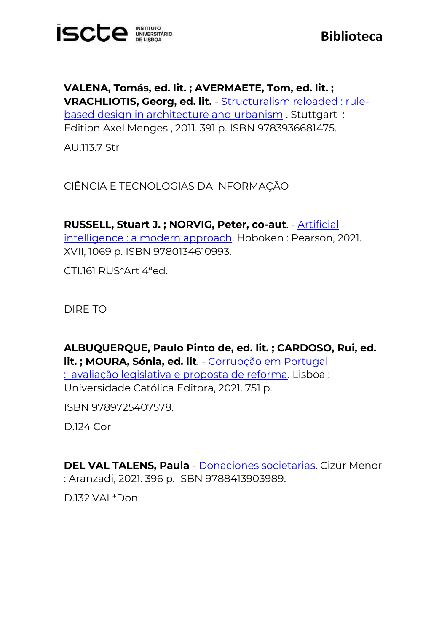

**VALENA, Tomás, ed. lit. ; AVERMAETE, Tom, ed. lit. ; VRACHLIOTIS, Georg, ed. lit.** - [Structuralism reloaded : rule](https://catalogo.biblioteca.iscte-iul.pt/cgi-bin/koha/opac-detail.pl?biblionumber=113312)[based design in architecture and urbanism](https://catalogo.biblioteca.iscte-iul.pt/cgi-bin/koha/opac-detail.pl?biblionumber=113312) . Stuttgart : Edition Axel Menges , 2011. 391 p. ISBN 9783936681475.

AU.113.7 Str

CIÊNCIA E TECNOLOGIAS DA INFORMAÇÃO

**RUSSELL, Stuart J. ; NORVIG, Peter, co-aut**. - [Artificial](https://catalogo.biblioteca.iscte-iul.pt/cgi-bin/koha/opac-detail.pl?biblionumber=112185)  [intelligence : a modern approach.](https://catalogo.biblioteca.iscte-iul.pt/cgi-bin/koha/opac-detail.pl?biblionumber=112185) Hoboken : Pearson, 2021. XVII, 1069 p. ISBN 9780134610993.

CTI.161 RUS\*Art 4ªed.

DIREITO

**ALBUQUERQUE, Paulo Pinto de, ed. lit. ; CARDOSO, Rui, ed. lit. ; MOURA, Sónia, ed. lit**. - [Corrupção em Portugal](https://catalogo.biblioteca.iscte-iul.pt/cgi-bin/koha/opac-detail.pl?biblionumber=113221)  : [avaliação legislativa e proposta de reforma.](https://catalogo.biblioteca.iscte-iul.pt/cgi-bin/koha/opac-detail.pl?biblionumber=113221) Lisboa : Universidade Católica Editora, 2021. 751 p.

ISBN 9789725407578.

D.124 Cor

**DEL VAL TALENS, Paula** - [Donaciones societarias.](https://catalogo.biblioteca.iscte-iul.pt/cgi-bin/koha/opac-detail.pl?biblionumber=112067) Cizur Menor : Aranzadi, 2021. 396 p. ISBN 9788413903989.

D.132 VAL\*Don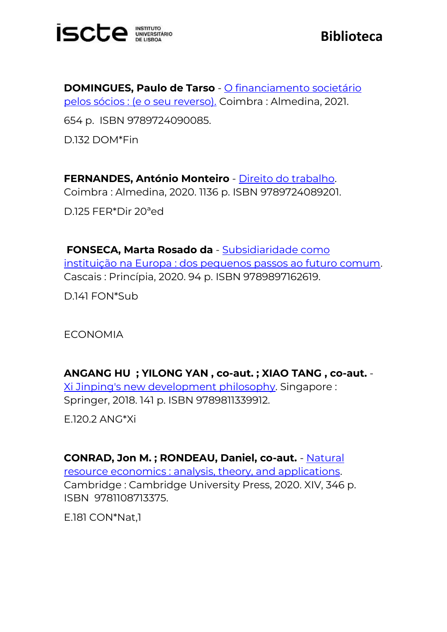

**DOMINGUES, Paulo de Tarso** - [O financiamento societário](https://catalogo.biblioteca.iscte-iul.pt/cgi-bin/koha/opac-detail.pl?biblionumber=112848)  [pelos sócios : \(e o seu reverso\).](https://catalogo.biblioteca.iscte-iul.pt/cgi-bin/koha/opac-detail.pl?biblionumber=112848) Coimbra : Almedina, 2021.

654 p. ISBN 9789724090085.

D.132 DOM\*Fin

**FERNANDES, António Monteiro** - [Direito do trabalho.](https://catalogo.biblioteca.iscte-iul.pt/cgi-bin/koha/opac-detail.pl?biblionumber=113362) Coimbra : Almedina, 2020. 1136 p. ISBN 9789724089201. D.125 FER\*Dir 20ªed

**FONSECA, Marta Rosado da** - [Subsidiaridade como](https://catalogo.biblioteca.iscte-iul.pt/cgi-bin/koha/opac-detail.pl?biblionumber=113342)  [instituição na Europa : dos pequenos passos ao futuro comum.](https://catalogo.biblioteca.iscte-iul.pt/cgi-bin/koha/opac-detail.pl?biblionumber=113342) Cascais : Princípia, 2020. 94 p. ISBN 9789897162619.

D.141 FON\*Sub

ECONOMIA

**ANGANG HU ; YILONG YAN , co-aut. ; XIAO TANG , co-aut.** - [Xi Jinping's new development philosophy.](https://catalogo.biblioteca.iscte-iul.pt/cgi-bin/koha/opac-detail.pl?biblionumber=113477) Singapore : Springer, 2018. 141 p. ISBN 9789811339912.

E.120.2 ANG\*Xi

**CONRAD, Jon M. ; RONDEAU, Daniel, co-aut.** - [Natural](https://catalogo.biblioteca.iscte-iul.pt/cgi-bin/koha/opac-detail.pl?biblionumber=113428)  [resource economics : analysis, theory, and applications.](https://catalogo.biblioteca.iscte-iul.pt/cgi-bin/koha/opac-detail.pl?biblionumber=113428) Cambridge : Cambridge University Press, 2020. XIV, 346 p. ISBN 9781108713375.

E.181 CON\*Nat,1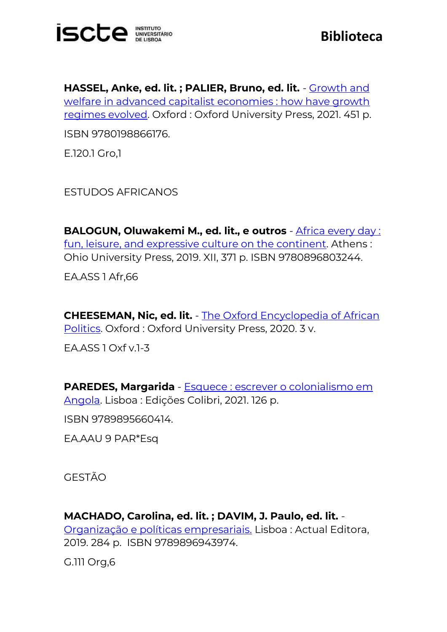

**HASSEL, Anke, ed. lit. ; PALIER, Bruno, ed. lit.** - [Growth and](https://catalogo.biblioteca.iscte-iul.pt/cgi-bin/koha/opac-detail.pl?biblionumber=112112)  [welfare in advanced capitalist economies : how have growth](https://catalogo.biblioteca.iscte-iul.pt/cgi-bin/koha/opac-detail.pl?biblionumber=112112)  [regimes evolved.](https://catalogo.biblioteca.iscte-iul.pt/cgi-bin/koha/opac-detail.pl?biblionumber=112112) Oxford : Oxford University Press, 2021. 451 p. ISBN 9780198866176.

E.120.1 Gro,1

ESTUDOS AFRICANOS

**BALOGUN, Oluwakemi M., ed. lit., e outros** - [Africa every day :](https://catalogo.biblioteca.iscte-iul.pt/cgi-bin/koha/opac-detail.pl?biblionumber=113302)  [fun, leisure, and expressive culture on the continent.](https://catalogo.biblioteca.iscte-iul.pt/cgi-bin/koha/opac-detail.pl?biblionumber=113302) Athens : Ohio University Press, 2019. XII, 371 p. ISBN 9780896803244.

EA.ASS 1 Afr,66

**CHEESEMAN, Nic, ed. lit.** - [The Oxford Encyclopedia of African](https://catalogo.biblioteca.iscte-iul.pt/cgi-bin/koha/opac-detail.pl?biblionumber=112097)  [Politics.](https://catalogo.biblioteca.iscte-iul.pt/cgi-bin/koha/opac-detail.pl?biblionumber=112097) Oxford: Oxford University Press, 2020. 3 v.

EA.ASS 1 Oxf v.1-3

**PAREDES, Margarida** - [Esquece : escrever o colonialismo em](https://catalogo.biblioteca.iscte-iul.pt/cgi-bin/koha/opac-detail.pl?biblionumber=113458)  [Angola.](https://catalogo.biblioteca.iscte-iul.pt/cgi-bin/koha/opac-detail.pl?biblionumber=113458) Lisboa : Edições Colibri, 2021. 126 p.

ISBN 9789895660414.

EA.AAU 9 PAR\*Esq

GESTÃO

**MACHADO, Carolina, ed. lit. ; DAVIM, J. Paulo, ed. lit.** - [Organização e políticas empresariais.](https://catalogo.biblioteca.iscte-iul.pt/cgi-bin/koha/opac-detail.pl?biblionumber=113214) Lisboa : Actual Editora, 2019. 284 p. ISBN 9789896943974.

G.111 Org,6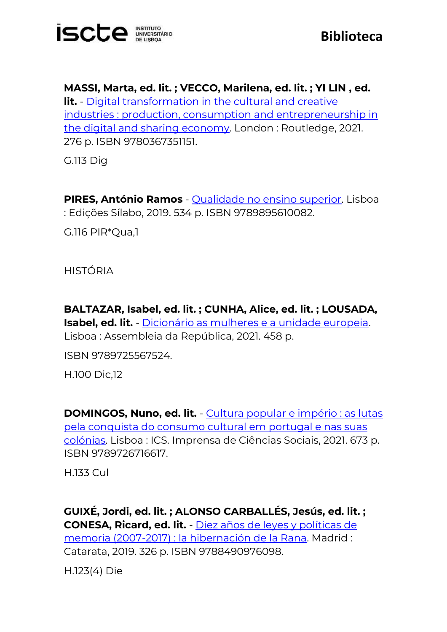

**MASSI, Marta, ed. lit. ; VECCO, Marilena, ed. lit. ; YI LIN , ed. lit.** - [Digital transformation in the cultural and creative](https://catalogo.biblioteca.iscte-iul.pt/cgi-bin/koha/opac-detail.pl?biblionumber=113413)  [industries : production, consumption and entrepreneurship in](https://catalogo.biblioteca.iscte-iul.pt/cgi-bin/koha/opac-detail.pl?biblionumber=113413)  [the digital and sharing economy.](https://catalogo.biblioteca.iscte-iul.pt/cgi-bin/koha/opac-detail.pl?biblionumber=113413) London : Routledge, 2021. 276 p. ISBN 9780367351151.

G.113 Dig

**PIRES, António Ramos** - [Qualidade no ensino superior.](https://catalogo.biblioteca.iscte-iul.pt/cgi-bin/koha/opac-detail.pl?biblionumber=113204) Lisboa : Edições Sílabo, 2019. 534 p. ISBN 9789895610082.

G.116 PIR\*Qua,1

HISTÓRIA

**BALTAZAR, Isabel, ed. lit. ; CUNHA, Alice, ed. lit. ; LOUSADA, Isabel, ed. lit.** - [Dicionário as mulheres e a unidade europeia.](https://catalogo.biblioteca.iscte-iul.pt/cgi-bin/koha/opac-detail.pl?biblionumber=113304) Lisboa : Assembleia da República, 2021. 458 p.

ISBN 9789725567524.

H.100 Dic,12

**DOMINGOS, Nuno, ed. lit.** - [Cultura popular e império : as lutas](https://catalogo.biblioteca.iscte-iul.pt/cgi-bin/koha/opac-detail.pl?biblionumber=112335)  [pela conquista do consumo cultural em portugal e nas suas](https://catalogo.biblioteca.iscte-iul.pt/cgi-bin/koha/opac-detail.pl?biblionumber=112335)  [colónias.](https://catalogo.biblioteca.iscte-iul.pt/cgi-bin/koha/opac-detail.pl?biblionumber=112335) Lisboa : ICS. Imprensa de Ciências Sociais, 2021. 673 p. ISBN 9789726716617.

H.133 Cul

**GUIXÉ, Jordi, ed. lit. ; ALONSO CARBALLÉS, Jesús, ed. lit. ; CONESA, Ricard, ed. lit.** - [Diez años de leyes y políticas de](https://catalogo.biblioteca.iscte-iul.pt/cgi-bin/koha/opac-detail.pl?biblionumber=113209)  [memoria \(2007-2017\) : la hibernación de la Rana.](https://catalogo.biblioteca.iscte-iul.pt/cgi-bin/koha/opac-detail.pl?biblionumber=113209) Madrid : Catarata, 2019. 326 p. ISBN 9788490976098.

H.123(4) Die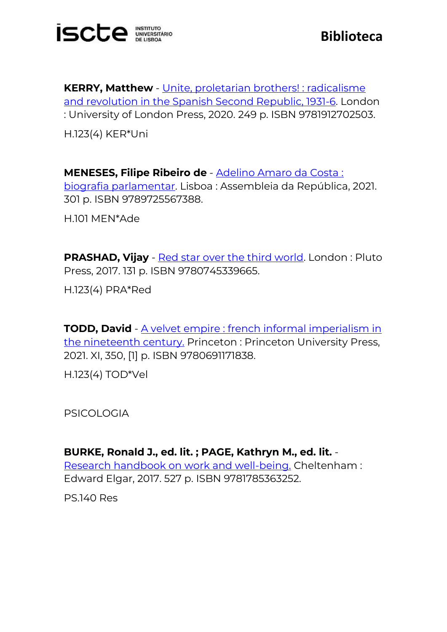

**KERRY, Matthew** - [Unite, proletarian brothers! : radicalisme](https://catalogo.biblioteca.iscte-iul.pt/cgi-bin/koha/opac-detail.pl?biblionumber=113212)  [and revolution in the Spanish Second Republic, 1931-6.](https://catalogo.biblioteca.iscte-iul.pt/cgi-bin/koha/opac-detail.pl?biblionumber=113212) London : University of London Press, 2020. 249 p. ISBN 9781912702503. H.123(4) KER\*Uni

**MENESES, Filipe Ribeiro de** - [Adelino Amaro da Costa :](https://catalogo.biblioteca.iscte-iul.pt/cgi-bin/koha/opac-detail.pl?biblionumber=113305)  [biografia parlamentar.](https://catalogo.biblioteca.iscte-iul.pt/cgi-bin/koha/opac-detail.pl?biblionumber=113305) Lisboa : Assembleia da República, 2021. 301 p. ISBN 9789725567388.

H.101 MEN\*Ade

**PRASHAD, Vijay** - [Red star over the third world.](https://catalogo.biblioteca.iscte-iul.pt/cgi-bin/koha/opac-detail.pl?biblionumber=113303) London: Pluto Press, 2017. 131 p. ISBN 9780745339665.

H.123(4) PRA\*Red

**TODD, David** - A velvet empire : french informal imperialism in [the nineteenth century.](https://catalogo.biblioteca.iscte-iul.pt/cgi-bin/koha/opac-detail.pl?biblionumber=113024) Princeton : Princeton University Press, 2021. XI, 350, [1] p. ISBN 9780691171838.

H.123(4) TOD\*Vel

PSICOLOGIA

**BURKE, Ronald J., ed. lit. ; PAGE, Kathryn M., ed. lit.** - [Research handbook on work and well-being.](https://catalogo.biblioteca.iscte-iul.pt/cgi-bin/koha/opac-detail.pl?biblionumber=103225) Cheltenham : Edward Elgar, 2017. 527 p. ISBN 9781785363252.

PS.140 Res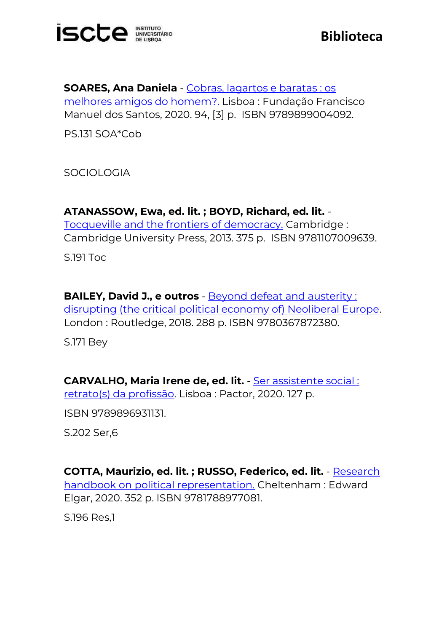

**SOARES, Ana Daniela** - [Cobras, lagartos e baratas : os](https://catalogo.biblioteca.iscte-iul.pt/cgi-bin/koha/opac-detail.pl?biblionumber=105661)  [melhores amigos do homem?.](https://catalogo.biblioteca.iscte-iul.pt/cgi-bin/koha/opac-detail.pl?biblionumber=105661) Lisboa : Fundação Francisco Manuel dos Santos, 2020. 94, [3] p. ISBN 9789899004092.

PS.131 SOA\*Cob

SOCIOLOGIA

**ATANASSOW, Ewa, ed. lit. ; BOYD, Richard, ed. lit.** - [Tocqueville and the frontiers of democracy.](https://catalogo.biblioteca.iscte-iul.pt/cgi-bin/koha/opac-detail.pl?biblionumber=113023) Cambridge : Cambridge University Press, 2013. 375 p. ISBN 9781107009639.

S.191 Toc

**BAILEY, David J., e outros** - [Beyond defeat and austerity :](https://catalogo.biblioteca.iscte-iul.pt/cgi-bin/koha/opac-detail.pl?biblionumber=113409)  [disrupting \(the critical political economy of\) Neoliberal Europe.](https://catalogo.biblioteca.iscte-iul.pt/cgi-bin/koha/opac-detail.pl?biblionumber=113409) London : Routledge, 2018. 288 p. ISBN 9780367872380.

S.171 Bey

**CARVALHO, Maria Irene de, ed. lit.** - [Ser assistente social :](https://catalogo.biblioteca.iscte-iul.pt/cgi-bin/koha/opac-detail.pl?biblionumber=113360)  [retrato\(s\) da profissão.](https://catalogo.biblioteca.iscte-iul.pt/cgi-bin/koha/opac-detail.pl?biblionumber=113360) Lisboa : Pactor, 2020. 127 p.

ISBN 9789896931131.

S.202 Ser,6

**COTTA, Maurizio, ed. lit. ; RUSSO, Federico, ed. lit.** - [Research](https://catalogo.biblioteca.iscte-iul.pt/cgi-bin/koha/opac-detail.pl?biblionumber=113429)  [handbook on political representation.](https://catalogo.biblioteca.iscte-iul.pt/cgi-bin/koha/opac-detail.pl?biblionumber=113429) Cheltenham : Edward Elgar, 2020. 352 p. ISBN 9781788977081.

S.196 Res,1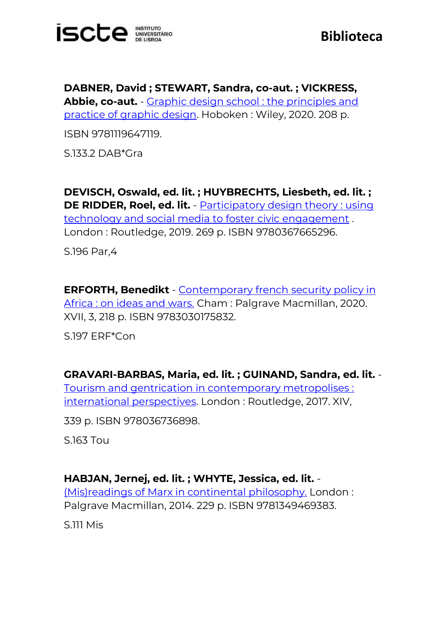

**DABNER, David ; STEWART, Sandra, co-aut. ; VICKRESS, Abbie, co-aut.** - [Graphic design school : the principles and](https://catalogo.biblioteca.iscte-iul.pt/cgi-bin/koha/opac-detail.pl?biblionumber=113300)  [practice of graphic design.](https://catalogo.biblioteca.iscte-iul.pt/cgi-bin/koha/opac-detail.pl?biblionumber=113300) Hoboken : Wiley, 2020. 208 p.

ISBN 9781119647119.

S.133.2 DAB\*Gra

**DEVISCH, Oswald, ed. lit. ; HUYBRECHTS, Liesbeth, ed. lit. ; DE RIDDER, Roel, ed. lit.** - [Participatory design theory : using](https://catalogo.biblioteca.iscte-iul.pt/cgi-bin/koha/opac-detail.pl?biblionumber=113399)  [technology and social media to foster civic engagement](https://catalogo.biblioteca.iscte-iul.pt/cgi-bin/koha/opac-detail.pl?biblionumber=113399) . London : Routledge, 2019. 269 p. ISBN 9780367665296.

S.196 Par,4

**ERFORTH, Benedikt** - [Contemporary french security policy in](https://catalogo.biblioteca.iscte-iul.pt/cgi-bin/koha/opac-detail.pl?biblionumber=113018)  [Africa : on ideas and wars.](https://catalogo.biblioteca.iscte-iul.pt/cgi-bin/koha/opac-detail.pl?biblionumber=113018) Cham : Palgrave Macmillan, 2020. XVII, 3, 218 p. ISBN 9783030175832.

S.197 ERF\*Con

**GRAVARI-BARBAS, Maria, ed. lit. ; GUINAND, Sandra, ed. lit.** - [Tourism and gentrication in contemporary metropolises :](https://catalogo.biblioteca.iscte-iul.pt/cgi-bin/koha/opac-detail.pl?biblionumber=113411)  [international perspectives.](https://catalogo.biblioteca.iscte-iul.pt/cgi-bin/koha/opac-detail.pl?biblionumber=113411) London : Routledge, 2017. XIV,

339 p. ISBN 978036736898.

S.163 Tou

**HABJAN, Jernej, ed. lit. ; WHYTE, Jessica, ed. lit.** -

[\(Mis\)readings of Marx in continental philosophy.](https://catalogo.biblioteca.iscte-iul.pt/cgi-bin/koha/opac-detail.pl?biblionumber=113463) London : Palgrave Macmillan, 2014. 229 p. ISBN 9781349469383.

S.111 Mis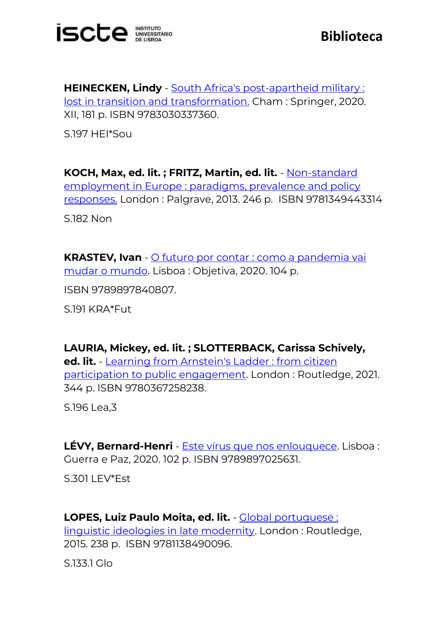

**HEINECKEN, Lindy** - [South Africa's post-apartheid military :](https://catalogo.biblioteca.iscte-iul.pt/cgi-bin/koha/opac-detail.pl?biblionumber=113132)  [lost in transition and transformation.](https://catalogo.biblioteca.iscte-iul.pt/cgi-bin/koha/opac-detail.pl?biblionumber=113132) Cham : Springer, 2020. XII, 181 p. ISBN 9783030337360.

S.197 HEI\*Sou

**KOCH, Max, ed. lit. ; FRITZ, Martin, ed. lit.** - [Non-standard](https://catalogo.biblioteca.iscte-iul.pt/cgi-bin/koha/opac-detail.pl?biblionumber=113464)  [employment in Europe : paradigms, prevalence and policy](https://catalogo.biblioteca.iscte-iul.pt/cgi-bin/koha/opac-detail.pl?biblionumber=113464)  [responses.](https://catalogo.biblioteca.iscte-iul.pt/cgi-bin/koha/opac-detail.pl?biblionumber=113464) London : Palgrave, 2013. 246 p. ISBN 9781349443314 S.182 Non

**KRASTEV, Ivan** - [O futuro por contar : como a pandemia vai](https://catalogo.biblioteca.iscte-iul.pt/cgi-bin/koha/opac-detail.pl?biblionumber=113219)  [mudar o mundo.](https://catalogo.biblioteca.iscte-iul.pt/cgi-bin/koha/opac-detail.pl?biblionumber=113219) Lisboa : Objetiva, 2020. 104 p.

ISBN 9789897840807.

S.191 KRA\*Fut

**LAURIA, Mickey, ed. lit. ; SLOTTERBACK, Carissa Schively, ed. lit.** - [Learning from Arnstein's](https://catalogo.biblioteca.iscte-iul.pt/cgi-bin/koha/opac-detail.pl?biblionumber=113381) Ladder : from citizen [participation to public engagement.](https://catalogo.biblioteca.iscte-iul.pt/cgi-bin/koha/opac-detail.pl?biblionumber=113381) London : Routledge, 2021. 344 p. ISBN 9780367258238.

S.196 Lea,3

**LÉVY, Bernard-Henri** - [Este vírus que nos enlouquece.](https://catalogo.biblioteca.iscte-iul.pt/cgi-bin/koha/opac-detail.pl?biblionumber=113462) Lisboa : Guerra e Paz, 2020. 102 p. ISBN 9789897025631.

S.301 LEV\*Est

**LOPES, Luiz Paulo Moita, ed. lit.** - [Global portuguese :](https://catalogo.biblioteca.iscte-iul.pt/cgi-bin/koha/opac-detail.pl?biblionumber=113402)  [linguistic ideologies in late modernity.](https://catalogo.biblioteca.iscte-iul.pt/cgi-bin/koha/opac-detail.pl?biblionumber=113402) London : Routledge, 2015. 238 p. ISBN 9781138490096.

S.133.1 Glo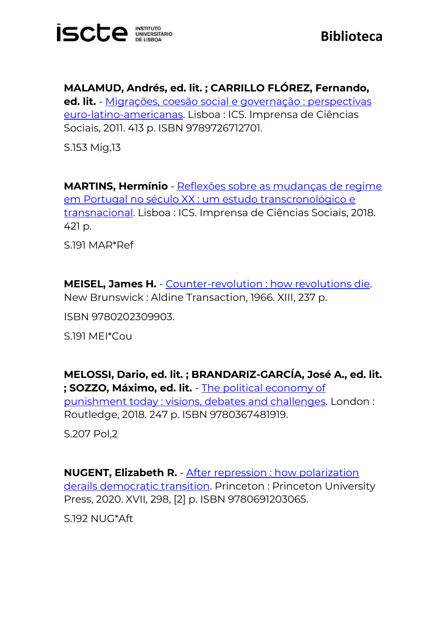

**MALAMUD, Andrés, ed. lit. ; CARRILLO FLÓREZ, Fernando, ed. lit.** - [Migrações, coesão social e governação : perspectivas](https://catalogo.biblioteca.iscte-iul.pt/cgi-bin/koha/opac-detail.pl?biblionumber=112390)  [euro-latino-americanas.](https://catalogo.biblioteca.iscte-iul.pt/cgi-bin/koha/opac-detail.pl?biblionumber=112390) Lisboa : ICS. Imprensa de Ciências Sociais, 2011. 413 p. ISBN 9789726712701.

S.153 Mig,13

**MARTINS, Hermínio** - [Reflexões sobre as mudanças de regime](https://catalogo.biblioteca.iscte-iul.pt/cgi-bin/koha/opac-detail.pl?biblionumber=112338)  [em Portugal no século XX : um estudo transcronológico e](https://catalogo.biblioteca.iscte-iul.pt/cgi-bin/koha/opac-detail.pl?biblionumber=112338)  [transnacional.](https://catalogo.biblioteca.iscte-iul.pt/cgi-bin/koha/opac-detail.pl?biblionumber=112338) Lisboa : ICS. Imprensa de Ciências Sociais, 2018. 421 p.

S.191 MAR\*Ref

**MEISEL, James H.** - [Counter-revolution : how revolutions die.](https://catalogo.biblioteca.iscte-iul.pt/cgi-bin/koha/opac-detail.pl?biblionumber=113020) New Brunswick : Aldine Transaction, 1966. XIII, 237 p.

ISBN 9780202309903.

S.191 MEI\*Cou

**MELOSSI, Dario, ed. lit. ; BRANDARIZ-GARCÍA, José A., ed. lit. ; SOZZO, Máximo, ed. lit.** - [The political economy of](https://catalogo.biblioteca.iscte-iul.pt/cgi-bin/koha/opac-detail.pl?biblionumber=113385)  [punishment today : visions, debates and challenges.](https://catalogo.biblioteca.iscte-iul.pt/cgi-bin/koha/opac-detail.pl?biblionumber=113385) London : Routledge, 2018. 247 p. ISBN 9780367481919.

S.207 Pol,2

**NUGENT, Elizabeth R.** - [After repression : how polarization](https://catalogo.biblioteca.iscte-iul.pt/cgi-bin/koha/opac-detail.pl?biblionumber=113022)  [derails democratic transition.](https://catalogo.biblioteca.iscte-iul.pt/cgi-bin/koha/opac-detail.pl?biblionumber=113022) Princeton : Princeton University Press, 2020. XVII, 298, [2] p. ISBN 9780691203065.

S.192 NUG\*Aft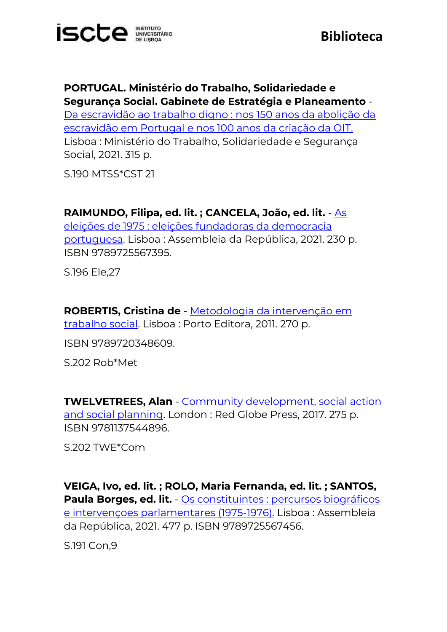

**PORTUGAL. Ministério do Trabalho, Solidariedade e Segurança Social. Gabinete de Estratégia e Planeamento** -

[Da escravidão ao trabalho digno : nos 150 anos da abolição da](https://catalogo.biblioteca.iscte-iul.pt/cgi-bin/koha/opac-detail.pl?biblionumber=112587)  [escravidão em Portugal e nos 100 anos da criação da OIT.](https://catalogo.biblioteca.iscte-iul.pt/cgi-bin/koha/opac-detail.pl?biblionumber=112587) Lisboa : Ministério do Trabalho, Solidariedade e Segurança Social, 2021. 315 p.

S.190 MTSS\*CST 21

**RAIMUNDO, Filipa, ed. lit. ; CANCELA, João, ed. lit.** - [As](https://catalogo.biblioteca.iscte-iul.pt/cgi-bin/koha/opac-detail.pl?biblionumber=113307) 

eleições de 1975 : eleições [fundadoras da democracia](https://catalogo.biblioteca.iscte-iul.pt/cgi-bin/koha/opac-detail.pl?biblionumber=113307)  [portuguesa.](https://catalogo.biblioteca.iscte-iul.pt/cgi-bin/koha/opac-detail.pl?biblionumber=113307) Lisboa : Assembleia da República, 2021. 230 p. ISBN 9789725567395.

S.196 Ele,27

**ROBERTIS, Cristina de** - [Metodologia da intervenção em](https://catalogo.biblioteca.iscte-iul.pt/cgi-bin/koha/opac-detail.pl?biblionumber=113215)  [trabalho social.](https://catalogo.biblioteca.iscte-iul.pt/cgi-bin/koha/opac-detail.pl?biblionumber=113215) Lisboa : Porto Editora, 2011. 270 p.

ISBN 9789720348609.

S.202 Rob\*Met

**TWELVETREES, Alan** - [Community development, social action](https://catalogo.biblioteca.iscte-iul.pt/cgi-bin/koha/opac-detail.pl?biblionumber=113430)  [and social planning.](https://catalogo.biblioteca.iscte-iul.pt/cgi-bin/koha/opac-detail.pl?biblionumber=113430) London : Red Globe Press, 2017. 275 p. ISBN 9781137544896.

S.202 TWE\*Com

**VEIGA, Ivo, ed. lit. ; ROLO, Maria Fernanda, ed. lit. ; SANTOS, Paula Borges, ed. lit.** - [Os constituintes : percursos biográficos](https://catalogo.biblioteca.iscte-iul.pt/cgi-bin/koha/opac-detail.pl?biblionumber=113306)  [e intervençoes parlamentares \(1975-1976\).](https://catalogo.biblioteca.iscte-iul.pt/cgi-bin/koha/opac-detail.pl?biblionumber=113306) Lisboa : Assembleia da República, 2021. 477 p. ISBN 9789725567456.

S.191 Con,9